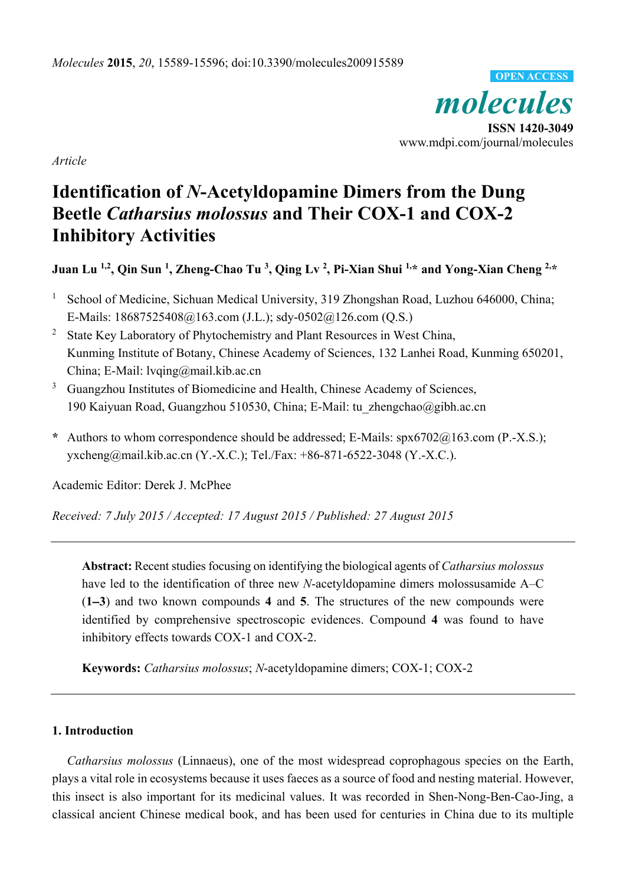*molecules*  **ISSN 1420-3049**  www.mdpi.com/journal/molecules **OPEN ACCESS**

*Article* 

# **Identification of** *N***-Acetyldopamine Dimers from the Dung Beetle** *Catharsius molossus* **and Their COX-1 and COX-2 Inhibitory Activities**

Juan Lu <sup>1,2</sup>, Qin Sun <sup>1</sup>, Zheng-Chao Tu <sup>3</sup>, Qing Lv <sup>2</sup>, Pi-Xian Shui <sup>1,\*</sup> and Yong-Xian Cheng <sup>2,\*</sup>

- 1 School of Medicine, Sichuan Medical University, 319 Zhongshan Road, Luzhou 646000, China; E-Mails: 18687525408@163.com (J.L.); sdy-0502@126.com (Q.S.)
- <sup>2</sup> State Key Laboratory of Phytochemistry and Plant Resources in West China, Kunming Institute of Botany, Chinese Academy of Sciences, 132 Lanhei Road, Kunming 650201, China; E-Mail: lvqing@mail.kib.ac.cn
- 3 Guangzhou Institutes of Biomedicine and Health, Chinese Academy of Sciences, 190 Kaiyuan Road, Guangzhou 510530, China; E-Mail: tu\_zhengchao@gibh.ac.cn
- **\*** Authors to whom correspondence should be addressed; E-Mails: spx6702@163.com (P.-X.S.); yxcheng@mail.kib.ac.cn (Y.-X.C.); Tel./Fax: +86-871-6522-3048 (Y.-X.C.).

Academic Editor: Derek J. McPhee

*Received: 7 July 2015 / Accepted: 17 August 2015 / Published: 27 August 2015* 

**Abstract:** Recent studies focusing on identifying the biological agents of *Catharsius molossus*  have led to the identification of three new *N*-acetyldopamine dimers molossusamide A–C (**1**−**3**) and two known compounds **4** and **5**. The structures of the new compounds were identified by comprehensive spectroscopic evidences. Compound **4** was found to have inhibitory effects towards COX-1 and COX-2.

**Keywords:** *Catharsius molossus*; *N*-acetyldopamine dimers; COX-1; COX-2

### **1. Introduction**

*Catharsius molossus* (Linnaeus), one of the most widespread coprophagous species on the Earth, plays a vital role in ecosystems because it uses faeces as a source of food and nesting material. However, this insect is also important for its medicinal values. It was recorded in Shen-Nong-Ben-Cao-Jing, a classical ancient Chinese medical book, and has been used for centuries in China due to its multiple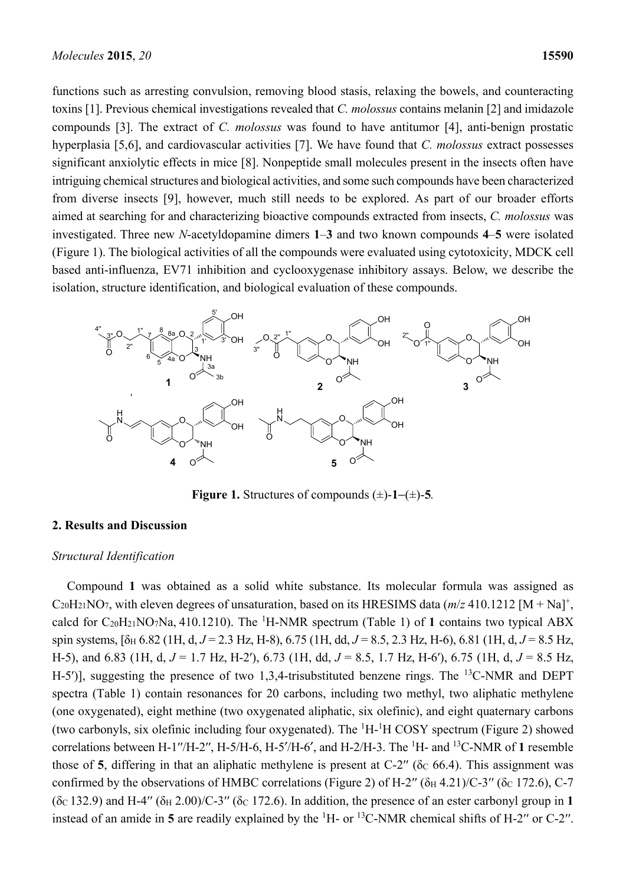functions such as arresting convulsion, removing blood stasis, relaxing the bowels, and counteracting toxins [1]. Previous chemical investigations revealed that *C. molossus* contains melanin [2] and imidazole compounds [3]. The extract of *C. molossus* was found to have antitumor [4], anti-benign prostatic hyperplasia [5,6], and cardiovascular activities [7]. We have found that *C. molossus* extract possesses significant anxiolytic effects in mice [8]. Nonpeptide small molecules present in the insects often have intriguing chemical structures and biological activities, and some such compounds have been characterized from diverse insects [9], however, much still needs to be explored. As part of our broader efforts aimed at searching for and characterizing bioactive compounds extracted from insects, *C. molossus* was investigated. Three new *N*-acetyldopamine dimers **1**–**3** and two known compounds **4**–**5** were isolated (Figure 1). The biological activities of all the compounds were evaluated using cytotoxicity, MDCK cell based anti-influenza, EV71 inhibition and cyclooxygenase inhibitory assays. Below, we describe the isolation, structure identification, and biological evaluation of these compounds.



**Figure 1.** Structures of compounds (±)-**1**−(±)-**5***.* 

#### **2. Results and Discussion**

#### *Structural Identification*

Compound **1** was obtained as a solid white substance. Its molecular formula was assigned as  $C_{20}H_{21}NO_7$ , with eleven degrees of unsaturation, based on its HRESIMS data ( $m/z$  410.1212 [M + Na]<sup>+</sup>, calcd for  $C_{20}H_{21}NO_7Na$ , 410.1210). The <sup>1</sup>H-NMR spectrum (Table 1) of 1 contains two typical ABX spin systems,  $[δ_H 6.82 (1H, d, J = 2.3 Hz, H-8), 6.75 (1H, dd, J = 8.5, 2.3 Hz, H-6), 6.81 (1H, d, J = 8.5 Hz,$ H-5), and 6.83 (1H, d, *J* = 1.7 Hz, H-2′), 6.73 (1H, dd, *J* = 8.5, 1.7 Hz, H-6′), 6.75 (1H, d, *J* = 8.5 Hz, H-5<sup>'</sup>)], suggesting the presence of two 1,3,4-trisubstituted benzene rings. The <sup>13</sup>C-NMR and DEPT spectra (Table 1) contain resonances for 20 carbons, including two methyl, two aliphatic methylene (one oxygenated), eight methine (two oxygenated aliphatic, six olefinic), and eight quaternary carbons (two carbonyls, six olefinic including four oxygenated). The  ${}^{1}H$ - ${}^{1}H$  COSY spectrum (Figure 2) showed correlations between H-1′′/H-2′′, H-5/H-6, H-5′/H-6′, and H-2/H-3. The 1 H- and 13C-NMR of **1** resemble those of **5**, differing in that an aliphatic methylene is present at  $C-2$ <sup>"</sup> ( $\delta$  $\in$  66.4). This assignment was confirmed by the observations of HMBC correlations (Figure 2) of H-2'' ( $\delta_H$  4.21)/C-3'' ( $\delta_C$  172.6), C-7  $(δc 132.9)$  and H-4''  $(δ<sub>H</sub> 2.00)/C-3'$ '  $(δc 172.6)$ . In addition, the presence of an ester carbonyl group in 1 instead of an amide in 5 are readily explained by the  $\rm{^1H}$ - or  $\rm{^{13}C}\text{-}NMR$  chemical shifts of H-2" or C-2".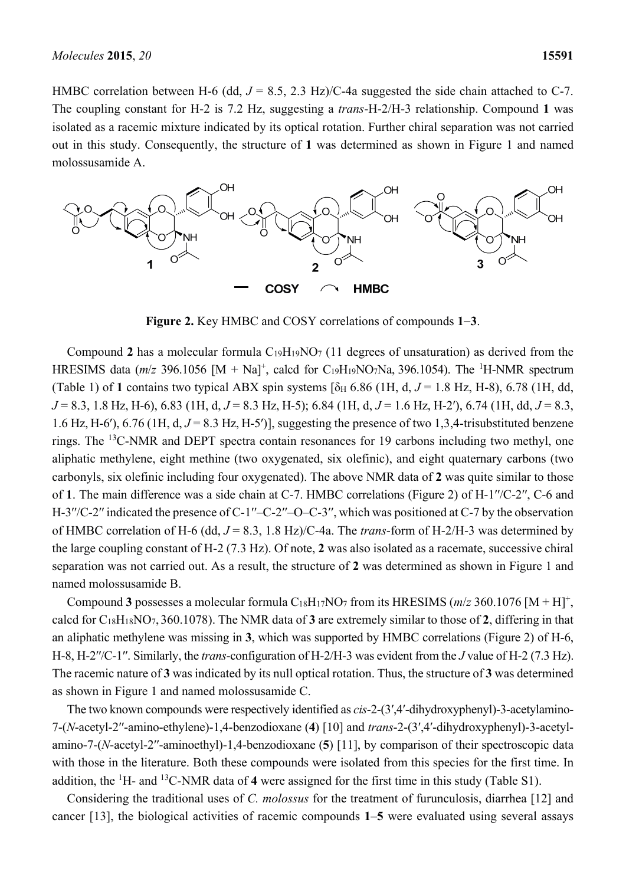HMBC correlation between H-6 (dd,  $J = 8.5$ , 2.3 Hz)/C-4a suggested the side chain attached to C-7. The coupling constant for H-2 is 7.2 Hz, suggesting a *trans*-H-2/H-3 relationship. Compound **1** was isolated as a racemic mixture indicated by its optical rotation. Further chiral separation was not carried out in this study. Consequently, the structure of **1** was determined as shown in Figure 1 and named molossusamide A.



**Figure 2.** Key HMBC and COSY correlations of compounds **1**−**3**.

Compound 2 has a molecular formula  $C_{19}H_{19}NO<sub>7</sub>$  (11 degrees of unsaturation) as derived from the HRESIMS data  $(m/z)$  396.1056  $[M + Na]$ <sup>+</sup>, calcd for C<sub>19</sub>H<sub>19</sub>NO<sub>7</sub>Na, 396.1054). The <sup>1</sup>H-NMR spectrum (Table 1) of 1 contains two typical ABX spin systems  $\lceil \delta_H \rceil 6.86$  (1H, d,  $J = 1.8$  Hz, H-8), 6.78 (1H, dd, *J* = 8.3, 1.8 Hz, H-6), 6.83 (1H, d, *J* = 8.3 Hz, H-5); 6.84 (1H, d, *J* = 1.6 Hz, H-2′), 6.74 (1H, dd, *J* = 8.3, 1.6 Hz, H-6′),  $6.76$  (1H,  $d, J = 8.3$  Hz, H-5′)], suggesting the presence of two 1,3,4-trisubstituted benzene rings. The <sup>13</sup>C-NMR and DEPT spectra contain resonances for 19 carbons including two methyl, one aliphatic methylene, eight methine (two oxygenated, six olefinic), and eight quaternary carbons (two carbonyls, six olefinic including four oxygenated). The above NMR data of **2** was quite similar to those of **1**. The main difference was a side chain at C-7. HMBC correlations (Figure 2) of H-1′′/C-2′′, C-6 and H-3''/C-2" indicated the presence of C-1"-C-2"-O-C-3", which was positioned at C-7 by the observation of HMBC correlation of H-6 (dd, *J* = 8.3, 1.8 Hz)/C-4a. The *trans*-form of H-2/H-3 was determined by the large coupling constant of H-2 (7.3 Hz). Of note, **2** was also isolated as a racemate, successive chiral separation was not carried out. As a result, the structure of **2** was determined as shown in Figure 1 and named molossusamide B.

Compound **3** possesses a molecular formula C<sub>18</sub>H<sub>17</sub>NO<sub>7</sub> from its HRESIMS ( $m/z$  360.1076 [M + H]<sup>+</sup>, calcd for C18H18NO7, 360.1078). The NMR data of **3** are extremely similar to those of **2**, differing in that an aliphatic methylene was missing in **3**, which was supported by HMBC correlations (Figure 2) of H-6, H-8, H-2′′/C-1′′. Similarly, the *trans*-configuration of H-2/H-3 was evident from the *J* value of H-2 (7.3 Hz). The racemic nature of **3** was indicated by its null optical rotation. Thus, the structure of **3** was determined as shown in Figure 1 and named molossusamide C.

The two known compounds were respectively identified as *cis*-2-(3′,4′-dihydroxyphenyl)-3-acetylamino-7-(*N*-acetyl-2′′-amino-ethylene)-1,4-benzodioxane (**4**) [10] and *trans*-2-(3′,4′-dihydroxyphenyl)-3-acetylamino-7-(*N*-acetyl-2′′-aminoethyl)-1,4-benzodioxane (**5**) [11], by comparison of their spectroscopic data with those in the literature. Both these compounds were isolated from this species for the first time. In addition, the <sup>1</sup>H- and <sup>13</sup>C-NMR data of 4 were assigned for the first time in this study (Table S1).

Considering the traditional uses of *C. molossus* for the treatment of furunculosis, diarrhea [12] and cancer [13], the biological activities of racemic compounds **1**–**5** were evaluated using several assays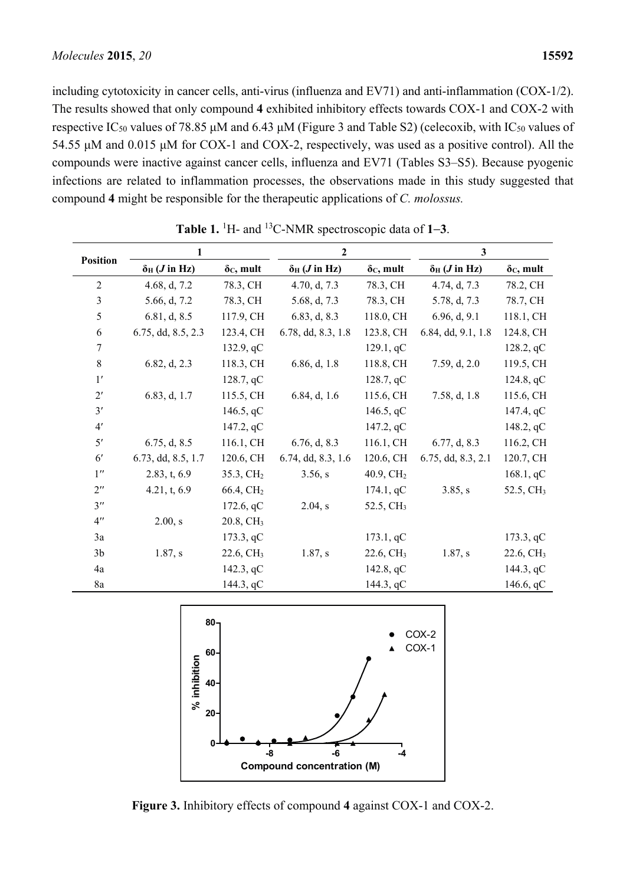including cytotoxicity in cancer cells, anti-virus (influenza and EV71) and anti-inflammation (COX-1/2). The results showed that only compound **4** exhibited inhibitory effects towards COX-1 and COX-2 with respective IC<sub>50</sub> values of 78.85 μM and 6.43 μM (Figure 3 and Table S2) (celecoxib, with IC<sub>50</sub> values of 54.55 μM and 0.015 μM for COX-1 and COX-2, respectively, was used as a positive control). All the compounds were inactive against cancer cells, influenza and EV71 (Tables S3–S5). Because pyogenic infections are related to inflammation processes, the observations made in this study suggested that compound **4** might be responsible for the therapeutic applications of *C. molossus.*

| <b>Position</b>    | 1                            |                       | $\overline{2}$               |                       | $\mathbf{3}$                 |                       |
|--------------------|------------------------------|-----------------------|------------------------------|-----------------------|------------------------------|-----------------------|
|                    | $\delta$ H ( <i>J</i> in Hz) | $\delta c$ , mult     | $\delta$ H ( <i>J</i> in Hz) | $\delta c$ , mult     | $\delta$ H ( <i>J</i> in Hz) | $\delta c$ , mult     |
| $\overline{2}$     | 4.68, d, 7.2                 | 78.3, CH              | 4.70, d, 7.3                 | 78.3, CH              | 4.74, d, 7.3                 | 78.2, CH              |
| $\mathfrak{Z}$     | 5.66, d, 7.2                 | 78.3, CH              | 5.68, d, 7.3                 | 78.3, CH              | 5.78, d, 7.3                 | 78.7, CH              |
| 5                  | 6.81, d, 8.5                 | 117.9, CH             | 6.83, d, 8.3                 | 118.0, CH             | 6.96, d, 9.1                 | 118.1, CH             |
| 6                  | 6.75, dd, 8.5, 2.3           | 123.4, CH             | 6.78, dd, 8.3, 1.8           | 123.8, CH             | 6.84, dd, 9.1, 1.8           | 124.8, CH             |
| $\boldsymbol{7}$   |                              | 132.9, qC             |                              | 129.1, qC             |                              | 128.2, qC             |
| $\,8\,$            | 6.82, d, 2.3                 | 118.3, CH             | 6.86, d, 1.8                 | 118.8, CH             | 7.59, d, 2.0                 | 119.5, CH             |
| 1'                 |                              | 128.7, qC             |                              | 128.7, qC             |                              | 124.8, qC             |
| 2'                 | 6.83, d, 1.7                 | 115.5, CH             | 6.84, d, 1.6                 | 115.6, CH             | 7.58, d, 1.8                 | 115.6, CH             |
| 3'                 |                              | 146.5, $qC$           |                              | 146.5, $qC$           |                              | 147.4, qC             |
| 4'                 |                              | 147.2, qC             |                              | 147.2, qC             |                              | 148.2, qC             |
| 5'                 | 6.75, d, 8.5                 | 116.1, CH             | 6.76, d, 8.3                 | 116.1, CH             | 6.77, d, 8.3                 | 116.2, CH             |
| 6 <sup>'</sup>     | 6.73, dd, 8.5, 1.7           | 120.6, CH             | 6.74, dd, 8.3, 1.6           | 120.6, CH             | 6.75, dd, 8.3, 2.1           | 120.7, CH             |
| $1^{\prime\prime}$ | 2.83, t, 6.9                 | 35.3, CH <sub>2</sub> | 3.56, s                      | 40.9, CH <sub>2</sub> |                              | 168.1, qC             |
| $2^{\prime\prime}$ | 4.21, t, 6.9                 | 66.4, CH <sub>2</sub> |                              | 174.1, qC             | 3.85, s                      | 52.5, CH <sub>3</sub> |
| $3^{\prime\prime}$ |                              | 172.6, qC             | $2.04$ , s                   | 52.5, CH <sub>3</sub> |                              |                       |
| $4^{\prime\prime}$ | 2.00, s                      | 20.8, CH <sub>3</sub> |                              |                       |                              |                       |
| 3a                 |                              | 173.3, qC             |                              | 173.1, qC             |                              | 173.3, qC             |
| 3 <sub>b</sub>     | 1.87, s                      | 22.6, CH <sub>3</sub> | 1.87, s                      | 22.6, CH <sub>3</sub> | 1.87, s                      | 22.6, CH <sub>3</sub> |
| 4a                 |                              | 142.3, qC             |                              | 142.8, qC             |                              | 144.3, qC             |
| 8a                 |                              | 144.3, qC             |                              | 144.3, qC             |                              | 146.6, qC             |

**Table 1.** <sup>1</sup> H- and 13C-NMR spectroscopic data of **1**−**3**.



**Figure 3.** Inhibitory effects of compound **4** against COX-1 and COX-2.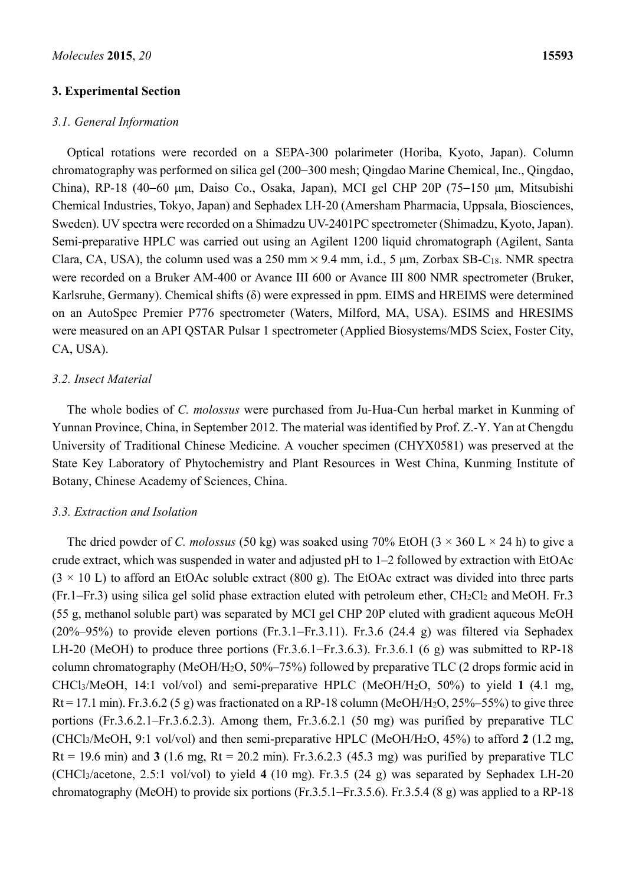#### **3. Experimental Section**

#### *3.1. General Information*

Optical rotations were recorded on a SEPA-300 polarimeter (Horiba, Kyoto, Japan). Column chromatography was performed on silica gel (200−300 mesh; Qingdao Marine Chemical, Inc., Qingdao, China), RP-18 (40−60 μm, Daiso Co., Osaka, Japan), MCI gel CHP 20P (75−150 μm, Mitsubishi Chemical Industries, Tokyo, Japan) and Sephadex LH-20 (Amersham Pharmacia, Uppsala, Biosciences, Sweden). UV spectra were recorded on a Shimadzu UV-2401PC spectrometer (Shimadzu, Kyoto, Japan). Semi-preparative HPLC was carried out using an Agilent 1200 liquid chromatograph (Agilent, Santa Clara, CA, USA), the column used was a 250 mm  $\times$  9.4 mm, i.d., 5 µm, Zorbax SB-C<sub>18</sub>. NMR spectra were recorded on a Bruker AM-400 or Avance III 600 or Avance III 800 NMR spectrometer (Bruker, Karlsruhe, Germany). Chemical shifts (δ) were expressed in ppm. EIMS and HREIMS were determined on an AutoSpec Premier P776 spectrometer (Waters, Milford, MA, USA). ESIMS and HRESIMS were measured on an API QSTAR Pulsar 1 spectrometer (Applied Biosystems/MDS Sciex, Foster City, CA, USA).

#### *3.2. Insect Material*

The whole bodies of *C. molossus* were purchased from Ju-Hua-Cun herbal market in Kunming of Yunnan Province, China, in September 2012. The material was identified by Prof. Z.-Y. Yan at Chengdu University of Traditional Chinese Medicine. A voucher specimen (CHYX0581) was preserved at the State Key Laboratory of Phytochemistry and Plant Resources in West China, Kunming Institute of Botany, Chinese Academy of Sciences, China.

#### *3.3. Extraction and Isolation*

The dried powder of *C. molossus* (50 kg) was soaked using 70% EtOH ( $3 \times 360$  L  $\times$  24 h) to give a crude extract, which was suspended in water and adjusted pH to 1–2 followed by extraction with EtOAc  $(3 \times 10 \text{ L})$  to afford an EtOAc soluble extract (800 g). The EtOAc extract was divided into three parts (Fr.1−Fr.3) using silica gel solid phase extraction eluted with petroleum ether, CH2Cl2 and MeOH. Fr.3 (55 g, methanol soluble part) was separated by MCI gel CHP 20P eluted with gradient aqueous MeOH (20%–95%) to provide eleven portions (Fr.3.1−Fr.3.11). Fr.3.6 (24.4 g) was filtered via Sephadex LH-20 (MeOH) to produce three portions (Fr.3.6.1−Fr.3.6.3). Fr.3.6.1 (6 g) was submitted to RP-18 column chromatography (MeOH/H2O, 50%–75%) followed by preparative TLC (2 drops formic acid in CHCl3/MeOH, 14:1 vol/vol) and semi-preparative HPLC (MeOH/H2O, 50%) to yield **1** (4.1 mg,  $Rt = 17.1$  min). Fr.3.6.2 (5 g) was fractionated on a RP-18 column (MeOH/H<sub>2</sub>O, 25%–55%) to give three portions (Fr.3.6.2.1–Fr.3.6.2.3). Among them, Fr.3.6.2.1 (50 mg) was purified by preparative TLC (CHCl3/MeOH, 9:1 vol/vol) and then semi-preparative HPLC (MeOH/H2O, 45%) to afford **2** (1.2 mg, Rt = 19.6 min) and  $3(1.6 \text{ mg}, \text{Rt} = 20.2 \text{ min})$ . Fr. 3.6.2.3 (45.3 mg) was purified by preparative TLC (CHCl3/acetone, 2.5:1 vol/vol) to yield **4** (10 mg). Fr.3.5 (24 g) was separated by Sephadex LH-20 chromatography (MeOH) to provide six portions (Fr.3.5.1−Fr.3.5.6). Fr.3.5.4 (8 g) was applied to a RP-18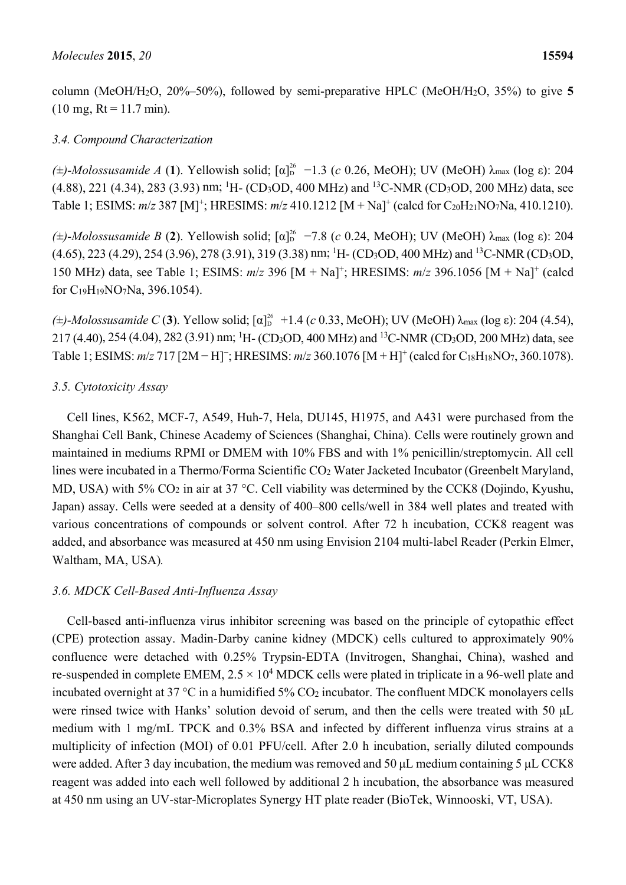column (MeOH/H2O, 20%–50%), followed by semi-preparative HPLC (MeOH/H2O, 35%) to give **5**  $(10 \text{ mg}, \text{Rt} = 11.7 \text{ min}).$ 

# *3.4. Compound Characterization*

( $\pm$ )-Molossusamide A (1). Yellowish solid; [α]<sup>26</sup> -1.3 (*c* 0.26, MeOH); UV (MeOH) λ<sub>max</sub> (log ε): 204  $(4.88)$ , 221  $(4.34)$ , 283  $(3.93)$  nm; <sup>1</sup>H- (CD<sub>3</sub>OD, 400 MHz) and <sup>13</sup>C-NMR (CD<sub>3</sub>OD, 200 MHz) data, see Table 1; ESIMS:  $m/z$  387 [M]<sup>+</sup>; HRESIMS:  $m/z$  410.1212 [M + Na]<sup>+</sup> (calcd for C<sub>20</sub>H<sub>21</sub>NO<sub>7</sub>Na, 410.1210).

( $\pm$ )-Molossusamide B (2). Yellowish solid; [α]<sup>26</sup> -7.8 (*c* 0.24, MeOH); UV (MeOH) λ<sub>max</sub> (log ε): 204  $(4.65)$ , 223  $(4.29)$ , 254  $(3.96)$ , 278  $(3.91)$ , 319  $(3.38)$  nm; <sup>1</sup>H- $(CD<sub>3</sub>OD, 400$  MHz) and <sup>13</sup>C-NMR  $(CD<sub>3</sub>OD,$ 150 MHz) data, see Table 1; ESIMS: *m*/*z* 396 [M + Na]+ ; HRESIMS: *m*/*z* 396.1056 [M + Na]+ (calcd for C19H19NO7Na, 396.1054).

( $\pm$ )-Molossusamide C (3). Yellow solid; [α]<sup>26</sup> +1.4 (*c* 0.33, MeOH); UV (MeOH) λ<sub>max</sub> (log ε): 204 (4.54), 217 (4.40), 254 (4.04), 282 (3.91) nm; <sup>1</sup>H- (CD<sub>3</sub>OD, 400 MHz) and <sup>13</sup>C-NMR (CD<sub>3</sub>OD, 200 MHz) data, see Table 1; ESIMS: *m/z* 717 [2M − H]<sup>-</sup>; HRESIMS: *m/z* 360.1076 [M + H]<sup>+</sup> (calcd for C<sub>18</sub>H<sub>18</sub>NO<sub>7</sub>, 360.1078).

# *3.5. Cytotoxicity Assay*

Cell lines, K562, MCF-7, A549, Huh-7, Hela, DU145, H1975, and A431 were purchased from the Shanghai Cell Bank, Chinese Academy of Sciences (Shanghai, China). Cells were routinely grown and maintained in mediums RPMI or DMEM with 10% FBS and with 1% penicillin/streptomycin. All cell lines were incubated in a Thermo/Forma Scientific CO<sub>2</sub> Water Jacketed Incubator (Greenbelt Maryland, MD, USA) with 5% CO<sub>2</sub> in air at 37 °C. Cell viability was determined by the CCK8 (Dojindo, Kyushu, Japan) assay. Cells were seeded at a density of 400–800 cells/well in 384 well plates and treated with various concentrations of compounds or solvent control. After 72 h incubation, CCK8 reagent was added, and absorbance was measured at 450 nm using Envision 2104 multi-label Reader (Perkin Elmer, Waltham, MA, USA)*.*

# *3.6. MDCK Cell-Based Anti-Influenza Assay*

Cell-based anti-influenza virus inhibitor screening was based on the principle of cytopathic effect (CPE) protection assay. Madin-Darby canine kidney (MDCK) cells cultured to approximately 90% confluence were detached with 0.25% Trypsin-EDTA (Invitrogen, Shanghai, China), washed and re-suspended in complete EMEM,  $2.5 \times 10^4$  MDCK cells were plated in triplicate in a 96-well plate and incubated overnight at  $37^{\circ}$ C in a humidified  $5\%$  CO<sub>2</sub> incubator. The confluent MDCK monolayers cells were rinsed twice with Hanks' solution devoid of serum, and then the cells were treated with 50 μL medium with 1 mg/mL TPCK and 0.3% BSA and infected by different influenza virus strains at a multiplicity of infection (MOI) of 0.01 PFU/cell. After 2.0 h incubation, serially diluted compounds were added. After 3 day incubation, the medium was removed and 50 μL medium containing 5 μL CCK8 reagent was added into each well followed by additional 2 h incubation, the absorbance was measured at 450 nm using an UV-star-Microplates Synergy HT plate reader (BioTek, Winnooski, VT, USA).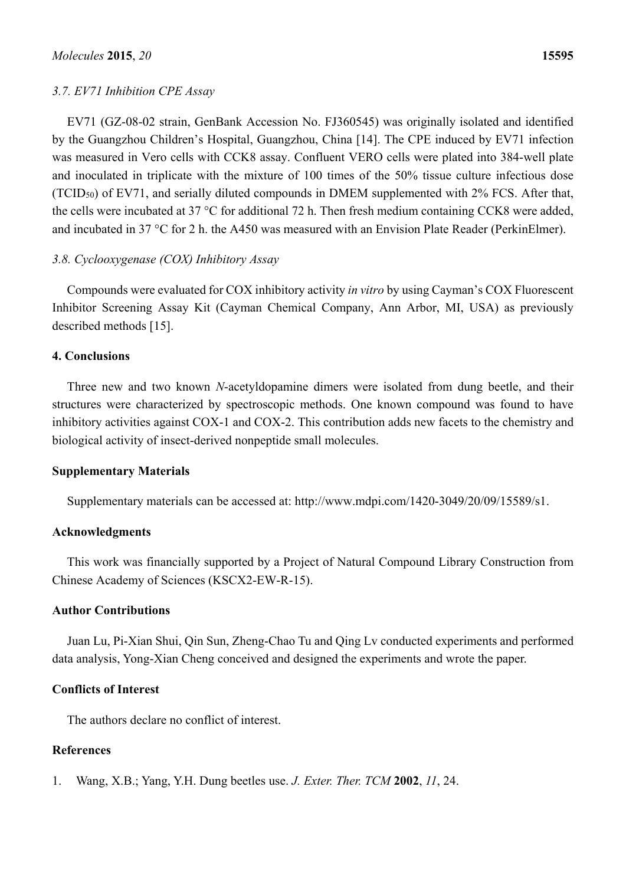### *3.7. EV71 Inhibition CPE Assay*

EV71 (GZ-08-02 strain, GenBank Accession No. FJ360545) was originally isolated and identified by the Guangzhou Children's Hospital, Guangzhou, China [14]. The CPE induced by EV71 infection was measured in Vero cells with CCK8 assay. Confluent VERO cells were plated into 384-well plate and inoculated in triplicate with the mixture of 100 times of the 50% tissue culture infectious dose (TCID50) of EV71, and serially diluted compounds in DMEM supplemented with 2% FCS. After that, the cells were incubated at 37 °C for additional 72 h. Then fresh medium containing CCK8 were added, and incubated in 37 °C for 2 h. the A450 was measured with an Envision Plate Reader (PerkinElmer).

# *3.8. Cyclooxygenase (COX) Inhibitory Assay*

Compounds were evaluated for COX inhibitory activity *in vitro* by using Cayman's COX Fluorescent Inhibitor Screening Assay Kit (Cayman Chemical Company, Ann Arbor, MI, USA) as previously described methods [15].

### **4. Conclusions**

Three new and two known *N*-acetyldopamine dimers were isolated from dung beetle, and their structures were characterized by spectroscopic methods. One known compound was found to have inhibitory activities against COX-1 and COX-2. This contribution adds new facets to the chemistry and biological activity of insect-derived nonpeptide small molecules.

### **Supplementary Materials**

Supplementary materials can be accessed at: http://www.mdpi.com/1420-3049/20/09/15589/s1.

# **Acknowledgments**

This work was financially supported by a Project of Natural Compound Library Construction from Chinese Academy of Sciences (KSCX2-EW-R-15).

### **Author Contributions**

Juan Lu, Pi-Xian Shui, Qin Sun, Zheng-Chao Tu and Qing Lv conducted experiments and performed data analysis, Yong-Xian Cheng conceived and designed the experiments and wrote the paper.

# **Conflicts of Interest**

The authors declare no conflict of interest.

# **References**

1. Wang, X.B.; Yang, Y.H. Dung beetles use. *J. Exter. Ther. TCM* **2002**, *11*, 24.